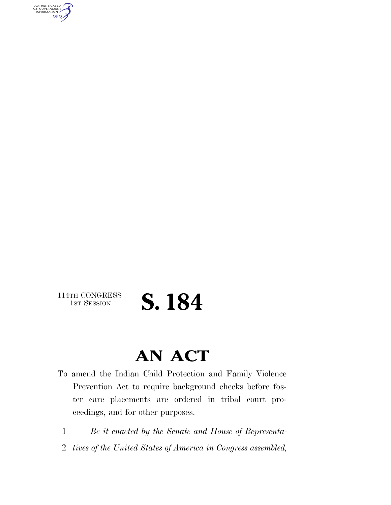AUTHENTICATED<br>U.S. GOVERNMENT<br>INFORMATION **GPO** 

114TH CONGRESS<br>1st Session

## S. 184

### **AN ACT**

To amend the Indian Child Protection and Family Violence Prevention Act to require background checks before foster care placements are ordered in tribal court proceedings, and for other purposes.

1 *Be it enacted by the Senate and House of Representa-*

2 *tives of the United States of America in Congress assembled,*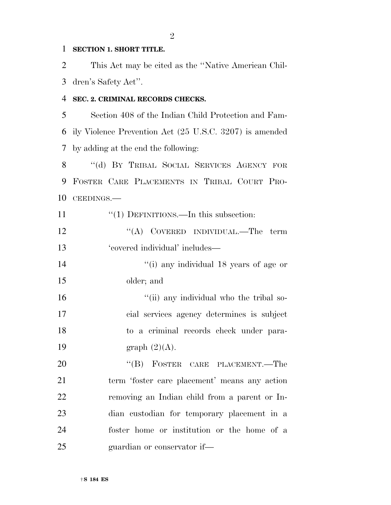#### **SECTION 1. SHORT TITLE.**

 This Act may be cited as the ''Native American Chil-dren's Safety Act''.

#### **SEC. 2. CRIMINAL RECORDS CHECKS.**

 Section 408 of the Indian Child Protection and Fam- ily Violence Prevention Act (25 U.S.C. 3207) is amended by adding at the end the following:

8 "(d) BY TRIBAL SOCIAL SERVICES AGENCY FOR FOSTER CARE PLACEMENTS IN TRIBAL COURT PRO-CEEDINGS.—

11 "(1) DEFINITIONS.—In this subsection: 12 "(A) COVERED INDIVIDUAL.—The term 'covered individual' includes— 14  $''(i)$  any individual 18 years of age or older; and

16 ''(ii) any individual who the tribal so- cial services agency determines is subject to a criminal records check under para-19 graph  $(2)(A)$ .

20 "(B) FOSTER CARE PLACEMENT.—The term 'foster care placement' means any action removing an Indian child from a parent or In- dian custodian for temporary placement in a foster home or institution or the home of a guardian or conservator if—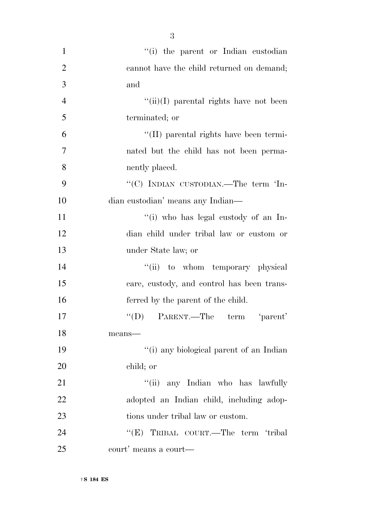| $\mathbf{1}$   | "(i) the parent or Indian custodian                      |
|----------------|----------------------------------------------------------|
| $\overline{2}$ | cannot have the child returned on demand;                |
| 3              | and                                                      |
| $\overline{4}$ | $``(ii)(I)$ parental rights have not been                |
| 5              | terminated; or                                           |
| 6              | "(II) parental rights have been termi-                   |
| 7              | nated but the child has not been perma-                  |
| 8              | nently placed.                                           |
| 9              | "(C) INDIAN CUSTODIAN.—The term 'In-                     |
| 10             | dian custodian' means any Indian—                        |
| 11             | "(i) who has legal custody of an In-                     |
| 12             | dian child under tribal law or custom or                 |
| 13             | under State law; or                                      |
| 14             | "(ii) to whom temporary physical                         |
| 15             | care, custody, and control has been trans-               |
| 16             | ferred by the parent of the child.                       |
| 17             | "(D) PARENT.—The term 'parent'                           |
| 18             | means-                                                   |
| 19             | "(i) any biological parent of an Indian                  |
| 20             | child; or                                                |
| 21             | "(ii) any Indian who has lawfully                        |
| 22             | adopted an Indian child, including adop-                 |
| 23             | tions under tribal law or custom.                        |
| 24             | "(E) TRIBAL COURT.—The term 'tribal                      |
| 25             | $\operatorname{court'}$ means a $\operatorname{court}$ — |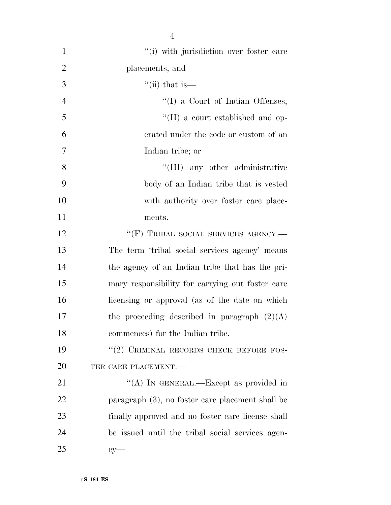| $\mathbf{1}$   | "(i) with jurisdiction over foster care           |
|----------------|---------------------------------------------------|
| $\overline{2}$ | placements; and                                   |
| 3              | $\lq$ <sup>"</sup> (ii) that is—                  |
| $\overline{4}$ | $\lq\lq$ (I) a Court of Indian Offenses;          |
| 5              | $\lq\lq$ (II) a court established and op-         |
| 6              | erated under the code or custom of an             |
| $\overline{7}$ | Indian tribe; or                                  |
| 8              | "(III) any other administrative                   |
| 9              | body of an Indian tribe that is vested            |
| 10             | with authority over foster care place-            |
| 11             | ments.                                            |
| 12             | "(F) TRIBAL SOCIAL SERVICES AGENCY.-              |
| 13             | The term 'tribal social services agency' means    |
| 14             | the agency of an Indian tribe that has the pri-   |
| 15             | mary responsibility for carrying out foster care  |
| 16             | licensing or approval (as of the date on which    |
| 17             | the proceeding described in paragraph $(2)(A)$    |
| 18             | commences) for the Indian tribe.                  |
| 19             | "(2) CRIMINAL RECORDS CHECK BEFORE FOS-           |
| 20             | TER CARE PLACEMENT.-                              |
| 21             | "(A) IN GENERAL.—Except as provided in            |
| 22             | paragraph (3), no foster care placement shall be  |
| 23             | finally approved and no foster care license shall |
| 24             | be issued until the tribal social services agen-  |
| 25             | $cy-$                                             |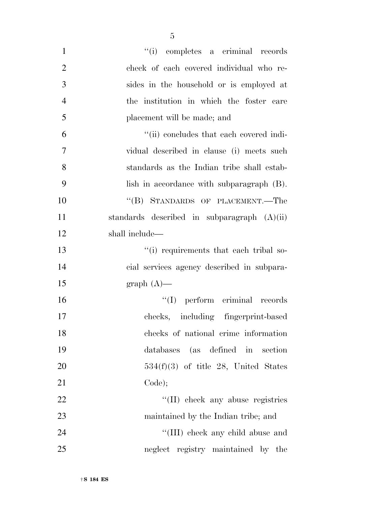| $\mathbf{1}$   | "(i) completes a criminal records             |
|----------------|-----------------------------------------------|
| $\overline{2}$ | check of each covered individual who re-      |
| 3              | sides in the household or is employed at      |
| $\overline{4}$ | the institution in which the foster care      |
| 5              | placement will be made; and                   |
| 6              | "(ii) concludes that each covered indi-       |
| 7              | vidual described in clause (i) meets such     |
| 8              | standards as the Indian tribe shall estab-    |
| 9              | lish in accordance with subparagraph (B).     |
| 10             | "(B) STANDARDS OF PLACEMENT.—The              |
| 11             | standards described in subparagraph $(A)(ii)$ |
| 12             | shall include—                                |
| 13             | "(i) requirements that each tribal so-        |
| 14             | cial services agency described in subpara-    |
| 15             | $graph(A)$ —                                  |
| 16             | "(I) perform criminal records                 |
| 17             | checks, including fingerprint-based           |
| 18             | checks of national crime information          |
| 19             | databases (as defined in section              |
| 20             | $534(f)(3)$ of title 28, United States        |
| 21             | Code);                                        |
| 22             | "(II) check any abuse registries              |
| 23             | maintained by the Indian tribe; and           |
| 24             | "(III) check any child abuse and              |
| 25             | neglect registry maintained by the            |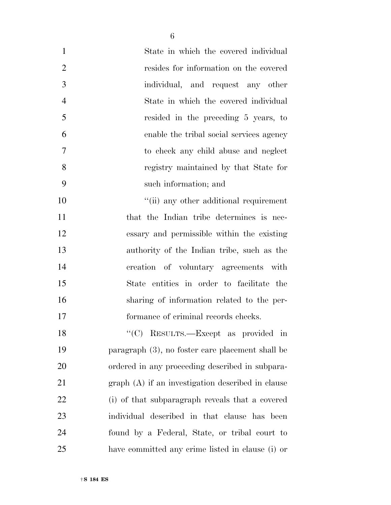| $\mathbf{1}$   | State in which the covered individual              |
|----------------|----------------------------------------------------|
| $\overline{2}$ | resides for information on the covered             |
| 3              | individual, and request any other                  |
| $\overline{4}$ | State in which the covered individual              |
| 5              | resided in the preceding 5 years, to               |
| 6              | enable the tribal social services agency           |
| $\overline{7}$ | to check any child abuse and neglect               |
| 8              | registry maintained by that State for              |
| 9              | such information; and                              |
| 10             | "(ii) any other additional requirement             |
| 11             | that the Indian tribe determines is nec-           |
| 12             | essary and permissible within the existing         |
| 13             | authority of the Indian tribe, such as the         |
| 14             | creation of voluntary agreements with              |
| 15             | State entities in order to facilitate the          |
| 16             | sharing of information related to the per-         |
| 17             | formance of criminal records checks.               |
| 18             | "(C) RESULTS.—Except as provided in                |
| 19             | paragraph (3), no foster care placement shall be   |
| 20             | ordered in any proceeding described in subpara-    |
| 21             | $graph(A)$ if an investigation described in clause |
| 22             | (i) of that subparagraph reveals that a covered    |
| 23             | individual described in that clause has been       |
| 24             | found by a Federal, State, or tribal court to      |

have committed any crime listed in clause (i) or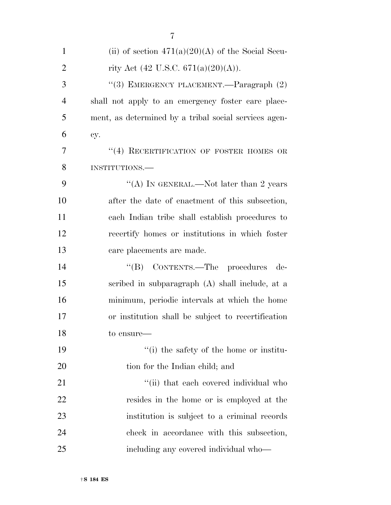| $\mathbf{1}$   | (ii) of section $471(a)(20)(A)$ of the Social Secu-   |
|----------------|-------------------------------------------------------|
| $\overline{2}$ | rity Act (42 U.S.C. 671(a)(20)(A)).                   |
| 3              | "(3) EMERGENCY PLACEMENT.—Paragraph (2)               |
| $\overline{4}$ | shall not apply to an emergency foster care place-    |
| 5              | ment, as determined by a tribal social services agen- |
| 6              | cy.                                                   |
| 7              | $``(4)$ RECERTIFICATION OF FOSTER HOMES OR            |
| 8              | INSTITUTIONS.                                         |
| 9              | "(A) IN GENERAL.—Not later than 2 years               |
| 10             | after the date of enactment of this subsection,       |
| 11             | each Indian tribe shall establish procedures to       |
| 12             | recertify homes or institutions in which foster       |
| 13             | care placements are made.                             |
| 14             | "(B) CONTENTS.—The procedures<br>de-                  |
| 15             | scribed in subparagraph (A) shall include, at a       |
| 16             | minimum, periodic intervals at which the home         |
| 17             | or institution shall be subject to recertification    |
| 18             | to ensure—                                            |
| 19             | "(i) the safety of the home or institu-               |
| 20             | tion for the Indian child; and                        |
| 21             | "(ii) that each covered individual who                |
| 22             | resides in the home or is employed at the             |
| 23             | institution is subject to a criminal records          |
| 24             | check in accordance with this subsection,             |
| 25             | including any covered individual who—                 |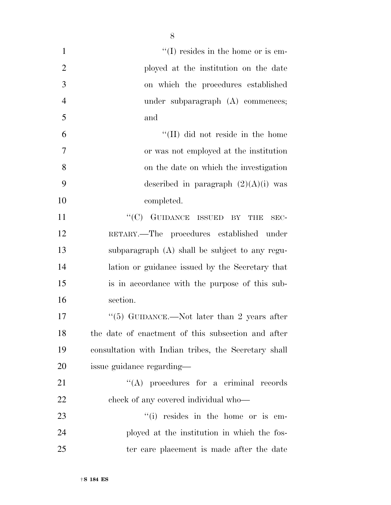| $\mathbf{1}$   | $\lq\lq$ resides in the home or is em-               |
|----------------|------------------------------------------------------|
| $\overline{2}$ | ployed at the institution on the date                |
| 3              | on which the procedures established                  |
| $\overline{4}$ | under subparagraph $(A)$ commences;                  |
| 5              | and                                                  |
| 6              | "(II) did not reside in the home                     |
| 7              | or was not employed at the institution               |
| 8              | on the date on which the investigation               |
| 9              | described in paragraph $(2)(A)(i)$ was               |
| 10             | completed.                                           |
| 11             | $``(C)$ GUIDANCE ISSUED BY<br><b>THE</b><br>SEC-     |
| 12             | RETARY.—The procedures established under             |
| 13             | subparagraph (A) shall be subject to any regu-       |
| 14             | lation or guidance issued by the Secretary that      |
| 15             | is in accordance with the purpose of this sub-       |
| 16             | section.                                             |
| 17             | "(5) GUIDANCE.—Not later than 2 years after          |
| 18             | the date of enactment of this subsection and after   |
| 19             | consultation with Indian tribes, the Secretary shall |
| 20             | issue guidance regarding—                            |
| 21             | $\lq\lq$ procedures for a criminal records           |
| 22             | check of any covered individual who—                 |
| 23             | "(i) resides in the home or is em-                   |
| 24             | ployed at the institution in which the fos-          |
| 25             | ter care placement is made after the date            |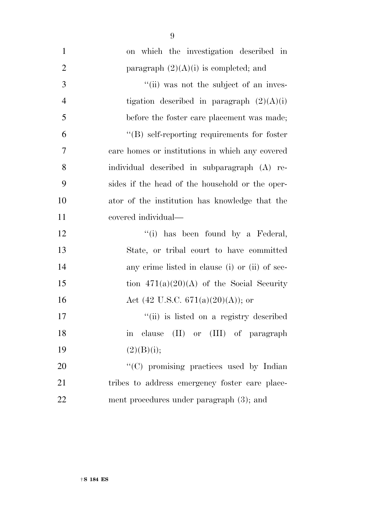| $\mathbf{1}$   | on which the investigation described in             |
|----------------|-----------------------------------------------------|
| $\overline{2}$ | paragraph $(2)(A)(i)$ is completed; and             |
| 3              | "(ii) was not the subject of an inves-              |
| $\overline{4}$ | tigation described in paragraph $(2)(A)(i)$         |
| 5              | before the foster care placement was made;          |
| 6              | $\lq\lq (B)$ self-reporting requirements for foster |
| 7              | care homes or institutions in which any covered     |
| 8              | individual described in subparagraph (A) re-        |
| 9              | sides if the head of the household or the oper-     |
| 10             | ator of the institution has knowledge that the      |
| 11             | covered individual—                                 |
| 12             | "(i) has been found by a Federal,                   |
| 13             | State, or tribal court to have committed            |
| 14             | any crime listed in clause (i) or (ii) of sec-      |
| 15             | tion $471(a)(20)(A)$ of the Social Security         |
| 16             | Act (42 U.S.C. 671(a)(20)(A)); or                   |
| 17             | "(ii) is listed on a registry described             |
| 18             | in clause (II) or (III) of paragraph                |
| 19             | (2)(B)(i);                                          |
| 20             | "(C) promising practices used by Indian             |
| 21             | tribes to address emergency foster care place-      |
| 22             | ment procedures under paragraph $(3)$ ; and         |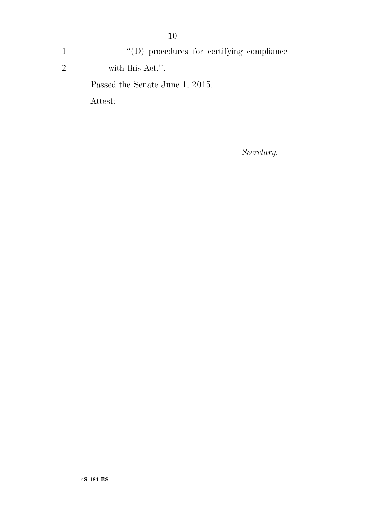1  $''(D)$  procedures for certifying compliance 2 with this Act.''. Passed the Senate June 1, 2015. Attest:

*Secretary.*